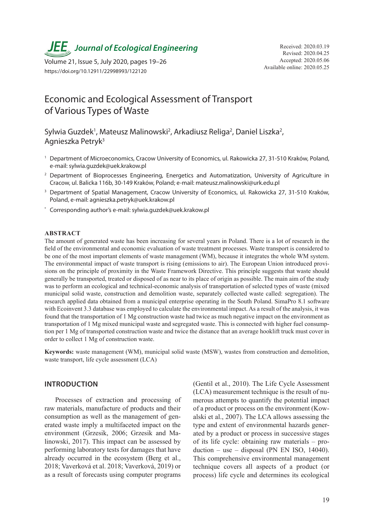**JEE** Journal of Ecological Engineering Received: 2020.03.19

Available online: 2020.05.25 Volume 21, Issue 5, July 2020, pages 19–26 https://doi.org/10.12911/22998993/122120

# Economic and Ecological Assessment of Transport of Various Types of Waste

Sylwia Guzdek<sup>1</sup>, Mateusz Malinowski<sup>2</sup>, Arkadiusz Religa<sup>2</sup>, Daniel Liszka<sup>2</sup>, Agnieszka Petryk3

- <sup>1</sup> Department of Microeconomics, Cracow University of Economics, ul. Rakowicka 27, 31-510 Kraków, Poland, e-mail: sylwia.guzdek@uek.krakow.pl
- <sup>2</sup> Department of Bioprocesses Engineering, Energetics and Automatization, University of Agriculture in Cracow, ul. Balicka 116b, 30-149 Kraków, Poland; e-mail: mateusz.malinowski@urk.edu.pl
- <sup>3</sup> Department of Spatial Management, Cracow University of Economics, ul. Rakowicka 27, 31-510 Kraków, Poland, e-mail: agnieszka.petryk@uek.krakow.pl
- \* Corresponding author's e-mail: sylwia.guzdek@uek.krakow.pl

#### **ABSTRACT**

The amount of generated waste has been increasing for several years in Poland. There is a lot of research in the field of the environmental and economic evaluation of waste treatment processes. Waste transport is considered to be one of the most important elements of waste management (WM), because it integrates the whole WM system. The environmental impact of waste transport is rising (emissions to air). The European Union introduced provisions on the principle of proximity in the Waste Framework Directive. This principle suggests that waste should generally be transported, treated or disposed of as near to its place of origin as possible. The main aim of the study was to perform an ecological and technical-economic analysis of transportation of selected types of waste (mixed municipal solid waste, construction and demolition waste, separately collected waste called: segregation). The research applied data obtained from a municipal enterprise operating in the South Poland. SimaPro 8.1 software with Ecoinvent 3.3 database was employed to calculate the environmental impact. As a result of the analysis, it was found that the transportation of 1 Mg construction waste had twice as much negative impact on the environment as transportation of 1 Mg mixed municipal waste and segregated waste. This is connected with higher fuel consumption per 1 Mg of transported construction waste and twice the distance that an average hooklift truck must cover in order to collect 1 Mg of construction waste.

**Keywords:** waste management (WM), municipal solid waste (MSW), wastes from construction and demolition, waste transport, life cycle assessment (LCA)

#### **INTRODUCTION**

Processes of extraction and processing of raw materials, manufacture of products and their consumption as well as the management of generated waste imply a multifaceted impact on the environment (Grzesik, 2006; Grzesik and Malinowski, 2017). This impact can be assessed by performing laboratory tests for damages that have already occurred in the ecosystem (Berg et al., 2018; Vaverková et al. 2018; Vaverková, 2019) or as a result of forecasts using computer programs

(Gentil et al., 2010). The Life Cycle Assessment (LCA) measurement technique is the result of numerous attempts to quantify the potential impact of a product or process on the environment (Kowalski et al., 2007). The LCA allows assessing the type and extent of environmental hazards generated by a product or process in successive stages of its life cycle: obtaining raw materials – pro $duction - use - disposal (PN EN ISO, 14040).$ This comprehensive environmental management technique covers all aspects of a product (or process) life cycle and determines its ecological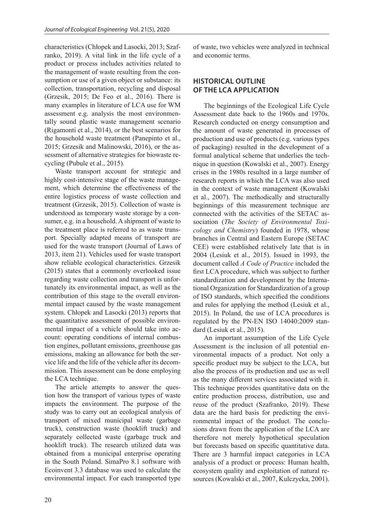characteristics (Chłopek and Lasocki, 2013; Szafranko, 2019). A vital link in the life cycle of a product or process includes activities related to the management of waste resulting from the consumption or use of a given object or substance: its collection, transportation, recycling and disposal (Grzesik, 2015; De Feo et al., 2016). There is many examples in literature of LCA use for WM assessment e.g. analysis the most environmentally sound plastic waste management scenario (Rigamonti et al., 2014), or the best scenarios for the household waste treatment (Panepinto et al., 2015; Grzesik and Malinowski, 2016), or the assessment of alternative strategies for biowaste recycling (Pubule et al., 2015).

Waste transport account for strategic and highly cost-intensive stage of the waste management, which determine the effectiveness of the entire logistics process of waste collection and treatment (Grzesik, 2015). Collection of waste is understood as temporary waste storage by a consumer, e.g. in a household. A shipment of waste to the treatment place is referred to as waste transport. Specially adapted means of transport are used for the waste transport (Journal of Laws of 2013, item 21). Vehicles used for waste transport show reliable ecological characteristics. Grzesik (2015) states that a commonly overlooked issue regarding waste collection and transport is unfortunately its environmental impact, as well as the contribution of this stage to the overall environmental impact caused by the waste management system. Chłopek and Lasocki (2013) reports that the quantitative assessment of possible environmental impact of a vehicle should take into account: operating conditions of internal combustion engines, pollutant emissions, greenhouse gas emissions, making an allowance for both the service life and the life of the vehicle after its decommission. This assessment can be done employing the LCA technique.

The article attempts to answer the question how the transport of various types of waste impacts the environment. The purpose of the study was to carry out an ecological analysis of transport of mixed municipal waste (garbage truck), construction waste (hooklift truck) and separately collected waste (garbage truck and hooklift truck). The research utilized data was obtained from a municipal enterprise operating in the South Poland. SimaPro 8.1 software with Ecoinvent 3.3 database was used to calculate the environmental impact. For each transported type

of waste, two vehicles were analyzed in technical and economic terms.

## **HISTORICAL OUTLINE OF THE LCA APPLICATION**

The beginnings of the Ecological Life Cycle Assessment date back to the 1960s and 1970s. Research conducted on energy consumption and the amount of waste generated in processes of production and use of products (e.g. various types of packaging) resulted in the development of a formal analytical scheme that underlies the technique in question (Kowalski et al., 2007). Energy crises in the 1980s resulted in a large number of research reports in which the LCA was also used in the context of waste management (Kowalski et al., 2007). The methodically and structurally beginnings of this measurement technique are connected with the activities of the SETAC association (*The Society of Environmental Toxicology and Chemistry*) founded in 1978, whose branches in Central and Eastern Europe (SETAC CEE) were established relatively late that is in 2004 (Lesiuk et al., 2015). Issued in 1993, the document called *A Code of Practice* included the first LCA procedure, which was subject to further standardization and development by the International Organization for Standardization of a group of ISO standards, which specified the conditions and rules for applying the method (Lesiuk et al., 2015). In Poland, the use of LCA procedures is regulated by the PN-EN ISO 14040:2009 standard (Lesiuk et al., 2015).

An important assumption of the Life Cycle Assessment is the inclusion of all potential environmental impacts of a product. Not only a specific product may be subject to the LCA, but also the process of its production and use as well as the many different services associated with it. This technique provides quantitative data on the entire production process, distribution, use and reuse of the product (Szafranko, 2019). These data are the hard basis for predicting the environmental impact of the product. The conclusions drawn from the application of the LCA are therefore not merely hypothetical speculation but forecasts based on specific quantitative data. There are 3 harmful impact categories in LCA analysis of a product or process: Human health, ecosystem quality and exploitation of natural resources (Kowalski et al., 2007, Kulczycka, 2001).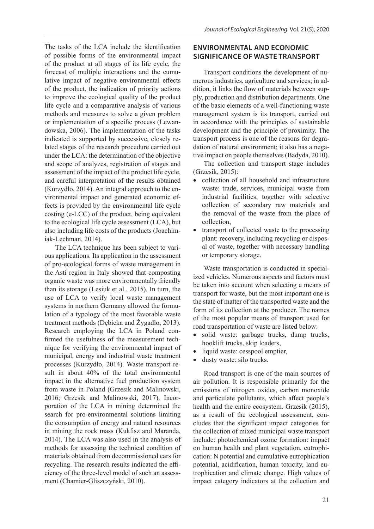The tasks of the LCA include the identification of possible forms of the environmental impact of the product at all stages of its life cycle, the forecast of multiple interactions and the cumulative impact of negative environmental effects of the product, the indication of priority actions to improve the ecological quality of the product life cycle and a comparative analysis of various methods and measures to solve a given problem or implementation of a specific process (Lewandowska, 2006). The implementation of the tasks indicated is supported by successive, closely related stages of the research procedure carried out under the LCA: the determination of the objective and scope of analyzes, registration of stages and assessment of the impact of the product life cycle, and careful interpretation of the results obtained (Kurzydło, 2014). An integral approach to the environmental impact and generated economic effects is provided by the environmental life cycle costing (e-LCC) of the product, being equivalent to the ecological life cycle assessment (LCA), but also including life costs of the products (Joachimiak-Lechman, 2014).

The LCA technique has been subject to various applications. Its application in the assessment of pro-ecological forms of waste management in the Asti region in Italy showed that composting organic waste was more environmentally friendly than its storage (Lesiuk et al., 2015). In turn, the use of LCA to verify local waste management systems in northern Germany allowed the formulation of a typology of the most favorable waste treatment methods (Dębicka and Żygadło, 2013). Research employing the LCA in Poland confirmed the usefulness of the measurement technique for verifying the environmental impact of municipal, energy and industrial waste treatment processes (Kurzydło, 2014). Waste transport result in about 40% of the total environmental impact in the alternative fuel production system from waste in Poland (Grzesik and Malinowski, 2016; Grzesik and Malinowski, 2017). Incorporation of the LCA in mining determined the search for pro-environmental solutions limiting the consumption of energy and natural resources in mining the rock mass (Kukfisz and Maranda, 2014). The LCA was also used in the analysis of methods for assessing the technical condition of materials obtained from decommissioned cars for recycling. The research results indicated the efficiency of the three-level model of such an assessment (Chamier-Gliszczyński, 2010).

## **ENVIRONMENTAL AND ECONOMIC SIGNIFICANCE OF WASTE TRANSPORT**

Transport conditions the development of numerous industries, agriculture and services; in addition, it links the flow of materials between supply, production and distribution departments. One of the basic elements of a well-functioning waste management system is its transport, carried out in accordance with the principles of sustainable development and the principle of proximity. The transport process is one of the reasons for degradation of natural environment; it also has a negative impact on people themselves (Badyda, 2010).

The collection and transport stage includes (Grzesik, 2015):

- collection of all household and infrastructure waste: trade, services, municipal waste from industrial facilities, together with selective collection of secondary raw materials and the removal of the waste from the place of collection,
- transport of collected waste to the processing plant: recovery, including recycling or disposal of waste, together with necessary handling or temporary storage.

Waste transportation is conducted in specialized vehicles. Numerous aspects and factors must be taken into account when selecting a means of transport for waste, but the most important one is the state of matter of the transported waste and the form of its collection at the producer. The names of the most popular means of transport used for road transportation of waste are listed below:

- solid waste: garbage trucks, dump trucks, hooklift trucks, skip loaders,
- liquid waste: cesspool emptier,
- dusty waste: silo trucks.

Road transport is one of the main sources of air pollution. It is responsible primarily for the emissions of nitrogen oxides, carbon monoxide and particulate pollutants, which affect people's health and the entire ecosystem. Grzesik (2015), as a result of the ecological assessment, concludes that the significant impact categories for the collection of mixed municipal waste transport include: photochemical ozone formation: impact on human health and plant vegetation, eutrophication: N potential and cumulative eutrophication potential, acidification, human toxicity, land eutrophication and climate change. High values of impact category indicators at the collection and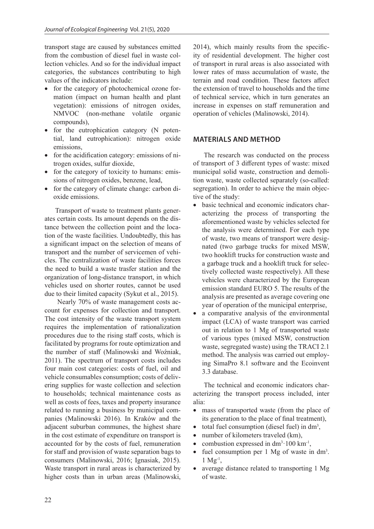transport stage are caused by substances emitted from the combustion of diesel fuel in waste collection vehicles. And so for the individual impact categories, the substances contributing to high values of the indicators include:

- for the category of photochemical ozone formation (impact on human health and plant vegetation): emissions of nitrogen oxides, NMVOC (non-methane volatile organic compounds),
- for the eutrophication category (N potential, land eutrophication): nitrogen oxide emissions,
- for the acidification category: emissions of nitrogen oxides, sulfur dioxide,
- for the category of toxicity to humans: emissions of nitrogen oxides, benzene, lead,
- for the category of climate change: carbon dioxide emissions.

Transport of waste to treatment plants generates certain costs. Its amount depends on the distance between the collection point and the location of the waste facilities. Undoubtedly, this has a significant impact on the selection of means of transport and the number of servicemen of vehicles. The centralization of waste facilities forces the need to build a waste trasfer station and the organization of long-distance transport, in which vehicles used on shorter routes, cannot be used due to their limited capacity (Sykut et al., 2015).

 Nearly 70% of waste management costs account for expenses for collection and transport. The cost intensity of the waste transport system requires the implementation of rationalization procedures due to the rising staff costs, which is facilitated by programs for route optimization and the number of staff (Malinowski and Woźniak, 2011). The spectrum of transport costs includes four main cost categories: costs of fuel, oil and vehicle consumables consumption; costs of delivering supplies for waste collection and selection to households; technical maintenance costs as well as costs of fees, taxes and property insurance related to running a business by municipal companies (Malinowski 2016). In Kraków and the adjacent suburban communes, the highest share in the cost estimate of expenditure on transport is accounted for by the costs of fuel, remuneration for staff and provision of waste separation bags to consumers (Malinowski, 2016; Ignasiak, 2015). Waste transport in rural areas is characterized by higher costs than in urban areas (Malinowski,

2014), which mainly results from the specificity of residential development. The higher cost of transport in rural areas is also associated with lower rates of mass accumulation of waste, the terrain and road condition. These factors affect the extension of travel to households and the time of technical service, which in turn generates an increase in expenses on staff remuneration and operation of vehicles (Malinowski, 2014).

### **MATERIALS AND METHOD**

The research was conducted on the process of transport of 3 different types of waste: mixed municipal solid waste, construction and demolition waste, waste collected separately (so-called: segregation). In order to achieve the main objective of the study:

- basic technical and economic indicators characterizing the process of transporting the aforementioned waste by vehicles selected for the analysis were determined. For each type of waste, two means of transport were designated (two garbage trucks for mixed MSW, two hooklift trucks for construction waste and a garbage truck and a hooklift truck for selectively collected waste respectively). All these vehicles were characterized by the European emission standard EURO 5. The results of the analysis are presented as average covering one year of operation of the municipal enterprise,
- a comparative analysis of the environmental impact (LCA) of waste transport was carried out in relation to 1 Mg of transported waste of various types (mixed MSW, construction waste, segregated waste) using the TRACI 2.1 method. The analysis was carried out employing SimaPro 8.1 software and the Ecoinvent 3.3 database.

The technical and economic indicators characterizing the transport process included, inter alia:

- mass of transported waste (from the place of its generation to the place of final treatment),
- $\bullet$  total fuel consumption (diesel fuel) in dm<sup>3</sup>,
- number of kilometers traveled (km),
- combustion expressed in  $dm^3 \tcdot 100 \text{ km}^{-1}$ ,
- fuel consumption per 1 Mg of waste in dm<sup>3</sup>.  $1 \text{Mg}^{-1}$ .
- average distance related to transporting 1 Mg of waste.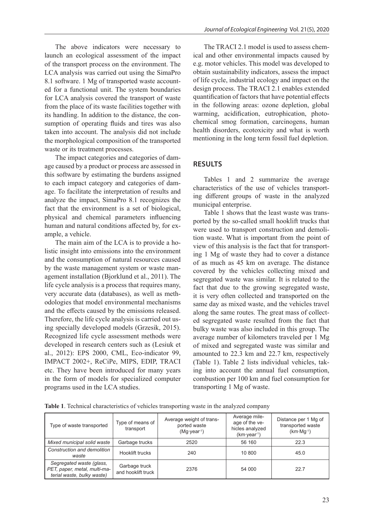The above indicators were necessary to launch an ecological assessment of the impact of the transport process on the environment. The LCA analysis was carried out using the SimaPro 8.1 software. 1 Mg of transported waste accounted for a functional unit. The system boundaries for LCA analysis covered the transport of waste from the place of its waste facilities together with its handling. In addition to the distance, the consumption of operating fluids and tires was also taken into account. The analysis did not include the morphological composition of the transported waste or its treatment processes.

The impact categories and categories of damage caused by a product or process are assessed in this software by estimating the burdens assigned to each impact category and categories of damage. To facilitate the interpretation of results and analyze the impact, SimaPro 8.1 recognizes the fact that the environment is a set of biological, physical and chemical parameters influencing human and natural conditions affected by, for example, a vehicle.

The main aim of the LCA is to provide a holistic insight into emissions into the environment and the consumption of natural resources caused by the waste management system or waste management installation (Bjorklund et al., 2011). The life cycle analysis is a process that requires many, very accurate data (databases), as well as methodologies that model environmental mechanisms and the effects caused by the emissions released. Therefore, the life cycle analysis is carried out using specially developed models (Grzesik, 2015). Recognized life cycle assessment methods were developed in research centers such as (Lesiuk et al., 2012): EPS 2000, CML, Eco-indicator 99, IMPACT 2002+, ReCiPe, MIPS, EDIP, TRACI etc. They have been introduced for many years in the form of models for specialized computer programs used in the LCA studies.

The TRACI 2.1 model is used to assess chemical and other environmental impacts caused by e.g. motor vehicles. This model was developed to obtain sustainability indicators, assess the impact of life cycle, industrial ecology and impact on the design process. The TRACI 2.1 enables extended quantification of factors that have potential effects in the following areas: ozone depletion, global warming, acidification, eutrophication, photochemical smog formation, carcinogens, human health disorders, ecotoxicity and what is worth mentioning in the long term fossil fuel depletion.

## **RESULTS**

Tables 1 and 2 summarize the average characteristics of the use of vehicles transporting different groups of waste in the analyzed municipal enterprise.

Table 1 shows that the least waste was transported by the so-called small hooklift trucks that were used to transport construction and demolition waste. What is important from the point of view of this analysis is the fact that for transporting 1 Mg of waste they had to cover a distance of as much as 45 km on average. The distance covered by the vehicles collecting mixed and segregated waste was similar. It is related to the fact that due to the growing segregated waste, it is very often collected and transported on the same day as mixed waste, and the vehicles travel along the same routes. The great mass of collected segregated waste resulted from the fact that bulky waste was also included in this group. The average number of kilometers traveled per 1 Mg of mixed and segregated waste was similar and amounted to 22.3 km and 22.7 km, respectively (Table 1). Table 2 lists individual vehicles, taking into account the annual fuel consumption, combustion per 100 km and fuel consumption for transporting 1 Mg of waste.

**Table 1**. Technical characteristics of vehicles transporting waste in the analyzed company

| Type of waste transported                                                              | Type of means of<br>transport       | Average weight of trans-<br>ported waste<br>$(Mq\cdot \text{year}^1)$ | Average mile-<br>age of the ve-<br>hicles analyzed<br>$(km \cdot year^{-1})$ | Distance per 1 Mg of<br>transported waste<br>$(km \cdot Mq^{-1})$ |
|----------------------------------------------------------------------------------------|-------------------------------------|-----------------------------------------------------------------------|------------------------------------------------------------------------------|-------------------------------------------------------------------|
| Mixed municipal solid waste                                                            | Garbage trucks                      | 2520                                                                  | 56 160                                                                       | 22.3                                                              |
| Construction and demolition<br>waste                                                   | Hooklift trucks                     | 240                                                                   | 10 800                                                                       | 45.0                                                              |
| Segregated waste (glass,<br>PET, paper, metal, multi-ma-<br>terial waste, bulky waste) | Garbage truck<br>and hooklift truck | 2376                                                                  | 54 000                                                                       | 22.7                                                              |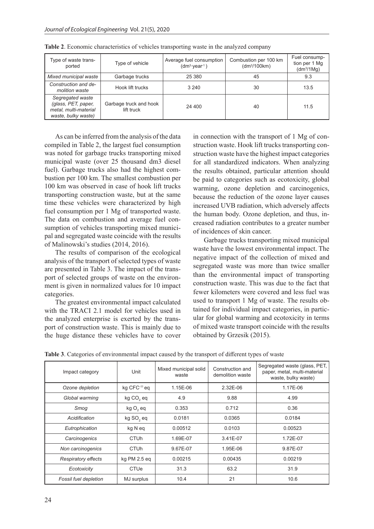| Type of waste trans-<br>ported                                                          | Type of vehicle                      | Average fuel consumption<br>$(dm^3 \cdot \text{year}^1)$ | Combustion per 100 km<br>$dm^3/100km)$ | Fuel consump-<br>tion per 1 Mg<br>(dm <sup>3</sup> /1Mg) |
|-----------------------------------------------------------------------------------------|--------------------------------------|----------------------------------------------------------|----------------------------------------|----------------------------------------------------------|
| Mixed municipal waste                                                                   | Garbage trucks                       | 25 380                                                   | 45                                     | 9.3                                                      |
| Construction and de-<br>molition waste                                                  | Hook lift trucks                     | 3 2 4 0                                                  | 30                                     | 13.5                                                     |
| Segregated waste<br>(glass, PET, paper,<br>metal, multi-material<br>waste, bulky waste) | Garbage truck and hook<br>lift truck | 24 400                                                   | 40                                     | 11.5                                                     |

**Table 2**. Economic characteristics of vehicles transporting waste in the analyzed company

As can be inferred from the analysis of the data compiled in Table 2, the largest fuel consumption was noted for garbage trucks transporting mixed municipal waste (over 25 thousand dm3 diesel fuel). Garbage trucks also had the highest combustion per 100 km. The smallest combustion per 100 km was observed in case of hook lift trucks transporting construction waste, but at the same time these vehicles were characterized by high fuel consumption per 1 Mg of transported waste. The data on combustion and average fuel consumption of vehicles transporting mixed municipal and segregated waste coincide with the results of Malinowski's studies (2014, 2016).

The results of comparison of the ecological analysis of the transport of selected types of waste are presented in Table 3. The impact of the transport of selected groups of waste on the environment is given in normalized values for 10 impact categories.

The greatest environmental impact calculated with the TRACI 2.1 model for vehicles used in the analyzed enterprise is exerted by the transport of construction waste. This is mainly due to the huge distance these vehicles have to cover in connection with the transport of 1 Mg of construction waste. Hook lift trucks transporting construction waste have the highest impact categories for all standardized indicators. When analyzing the results obtained, particular attention should be paid to categories such as ecotoxicity, global warming, ozone depletion and carcinogenics, because the reduction of the ozone layer causes increased UVB radiation, which adversely affects the human body. Ozone depletion, and thus, increased radiation contributes to a greater number of incidences of skin cancer.

Garbage trucks transporting mixed municipal waste have the lowest environmental impact. The negative impact of the collection of mixed and segregated waste was more than twice smaller than the environmental impact of transporting construction waste. This was due to the fact that fewer kilometers were covered and less fuel was used to transport 1 Mg of waste. The results obtained for individual impact categories, in particular for global warming and ecotoxicity in terms of mixed waste transport coincide with the results obtained by Grzesik (2015).

| Impact category              | Unit                  | Mixed municipal solid<br>waste | Construction and<br>demolition waste | Segregated waste (glass, PET,<br>paper, metal, multi-material<br>waste, bulky waste) |
|------------------------------|-----------------------|--------------------------------|--------------------------------------|--------------------------------------------------------------------------------------|
| Ozone depletion              | kg CFC-11 eq          | 1.15E-06                       | 2.32E-06                             | 1.17E-06                                                                             |
| Global warming               | kg CO <sub>2</sub> eq | 4.9                            | 9.88                                 | 4.99                                                                                 |
| Smog                         | $kgO2$ eq             | 0.353                          | 0.712                                | 0.36                                                                                 |
| Acidification                | kg SO <sub>2</sub> eq | 0.0181                         | 0.0365                               | 0.0184                                                                               |
| Eutrophication               | kg N eq               | 0.00512                        | 0.0103                               | 0.00523                                                                              |
| Carcinogenics                | <b>CTUh</b>           | 1.69E-07                       | 3.41E-07                             | 1.72E-07                                                                             |
| Non carcinogenics            | <b>CTUh</b>           | 9.67E-07                       | 1.95E-06                             | 9.87E-07                                                                             |
| <b>Respiratory effects</b>   | kg PM 2.5 eq          | 0.00215                        | 0.00435                              | 0.00219                                                                              |
| Ecotoxicity                  | CTUe                  | 31.3                           | 63.2                                 | 31.9                                                                                 |
| <b>Fossil fuel depletion</b> | MJ surplus            | 10.4                           | 21                                   | 10.6                                                                                 |

**Table 3**. Categories of environmental impact caused by the transport of different types of waste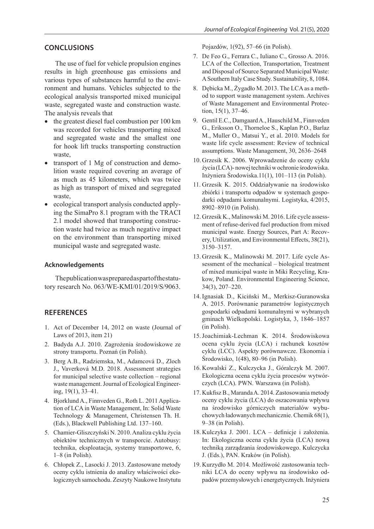### **CONCLUSIONS**

The use of fuel for vehicle propulsion engines results in high greenhouse gas emissions and various types of substances harmful to the environment and humans. Vehicles subjected to the ecological analysis transported mixed municipal waste, segregated waste and construction waste. The analysis reveals that

- the greatest diesel fuel combustion per 100 km was recorded for vehicles transporting mixed and segregated waste and the smallest one for hook lift trucks transporting construction waste,
- transport of 1 Mg of construction and demolition waste required covering an average of as much as 45 kilometers, which was twice as high as transport of mixed and segregated waste,
- ecological transport analysis conducted applying the SimaPro 8.1 program with the TRACI 2.1 model showed that transporting construction waste had twice as much negative impact on the environment than transporting mixed municipal waste and segregated waste.

#### **Acknowledgements**

The publication was prepared as part of the statutory research No. 063/WE-KMI/01/2019/S/9063.

#### **REFERENCES**

- 1. Act of December 14, 2012 on waste (Journal of Laws of 2013, item 21)
- 2. Badyda A.J. 2010. Zagrożenia środowiskowe ze strony transportu. Poznań (in Polish).
- 3. Berg A.B., Radziemska, M., Adamcová D., Zloch J., Vaverková M.D. 2018. Assessment strategies for municipal selective waste collection – regional waste management. Journal of Ecological Engineering, 19(1), 33–41.
- 4. Bjorklund A., Finnveden G., Roth L. 2011 Application of LCA in Waste Management, In: Solid Waste Technology & Management, Christensen Th. H. (Eds.), Blackwell Publishing Ltd. 137–160.
- 5. Chamier-Gliszczyński N. 2010. Analiza cyklu życia obiektów technicznych w transporcie. Autobusy: technika, eksploatacja, systemy transportowe, 6, 1–8 (in Polish).
- 6. Chłopek Z., Lasocki J. 2013. Zastosowane metody oceny cyklu istnienia do analizy właściwości ekologicznych samochodu. Zeszyty Naukowe Instytutu

Pojazdów, 1(92), 57–66 (in Polish).

- 7. De Feo G., Ferrara C., Iuliano C., Grosso A. 2016. LCA of the Collection, Transportation, Treatment and Disposal of Source Separated Municipal Waste: A Southern Italy Case Study. Sustainability, 8, 1084.
- 8. Dębicka M., Żygadło M. 2013. The LCA as a method to support waste management system. Archives of Waste Management and Environmental Protection, 15(1), 37–46.
- 9. Gentil E.C., Damgaard A., Hauschild M., Finnveden G., Eriksson O., Thorneloe S., Kaplan P.O., Barlaz M., Muller O., Matsui Y., et al. 2010. Models for waste life cycle assessment: Review of technical assumptions. Waste Management, 30, 2636–2648
- 10. Grzesik K. 2006. Wprowadzenie do oceny cyklu życia (LCA)- nowej techniki w ochronie środowiska. Inżyniera Środowiska.11(1), 101–113 (in Polish).
- 11. Grzesik K. 2015. Oddziaływanie na środowisko zbiórki i transportu odpadów w systemach gospodarki odpadami komunalnymi. Logistyka, 4/2015, 8902–8910 (in Polish).
- 12. Grzesik K., Malinowski M. 2016. Life cycle assessment of refuse-derived fuel production from mixed municipal waste. Energy Sources, Part A: Recovery, Utilization, and Environmental Effects, 38(21), 3150–3157.
- 13. Grzesik K., Malinowski M. 2017. Life cycle Assessment of the mechanical – biological treatment of mixed municipal waste in Miki Recycling, Krakow, Poland. Environmental Engineering Science, 34(3), 207–220.
- 14.Ignasiak D., Kiciński M., Merkisz-Guranowska A. 2015. Porównanie parametrów logistycznych gospodarki odpadami komunalnymi w wybranych gminach Wielkopolski. Logistyka, 3, 1846–1857 (in Polish).
- 15.Joachimiak-Lechman K. 2014. Środowiskowa ocena cyklu życia (LCA) i rachunek kosztów cyklu (LCC). Aspekty porównawcze. Ekonomia i Środowisko, 1(48), 80–96 (in Polish).
- 16. Kowalski Z., Kulczycka J., Góralczyk M. 2007. Ekologiczna ocena cyklu życia procesów wytwórczych (LCA). PWN. Warszawa (in Polish).
- 17. Kukfisz B., Maranda A. 2014. Zastosowania metody oceny cyklu życia (LCA) do oszacowania wpływu na środowisko górniczych materiałów wybuchowych ładowanych mechanicznie. Chemik 68(1), 9–38 (in Polish).
- 18. Kulczyka J. 2001. LCA definicje i założenia. In: Ekologiczna ocena cyklu życia (LCA) nową techniką zarządzania środowiskowego. Kulczycka J. (Eds.), PAN. Kraków (in Polish).
- 19. Kurzydło M. 2014. Możliwość zastosowania techniki LCA do oceny wpływu na środowisko odpadów przemysłowych i energetycznych. Inżyniera